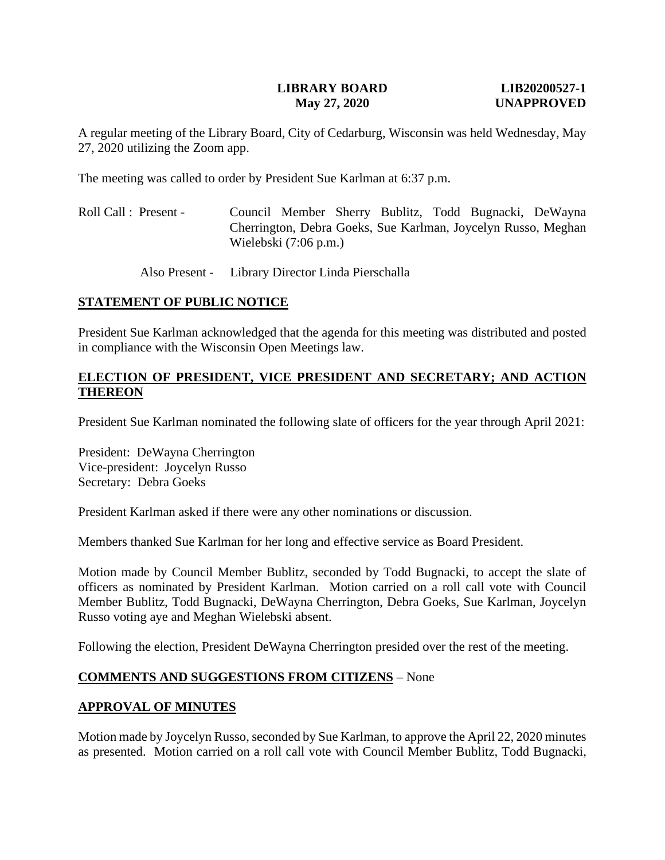### **LIBRARY BOARD LIB20200527-1 May 27, 2020 UNAPPROVED**

A regular meeting of the Library Board, City of Cedarburg, Wisconsin was held Wednesday, May 27, 2020 utilizing the Zoom app.

The meeting was called to order by President Sue Karlman at 6:37 p.m.

- Roll Call : Present Council Member Sherry Bublitz, Todd Bugnacki, DeWayna Cherrington, Debra Goeks, Sue Karlman, Joycelyn Russo, Meghan Wielebski (7:06 p.m.)
	- Also Present Library Director Linda Pierschalla

### **STATEMENT OF PUBLIC NOTICE**

President Sue Karlman acknowledged that the agenda for this meeting was distributed and posted in compliance with the Wisconsin Open Meetings law.

## **ELECTION OF PRESIDENT, VICE PRESIDENT AND SECRETARY; AND ACTION THEREON**

President Sue Karlman nominated the following slate of officers for the year through April 2021:

President: DeWayna Cherrington Vice-president: Joycelyn Russo Secretary: Debra Goeks

President Karlman asked if there were any other nominations or discussion.

Members thanked Sue Karlman for her long and effective service as Board President.

Motion made by Council Member Bublitz, seconded by Todd Bugnacki, to accept the slate of officers as nominated by President Karlman. Motion carried on a roll call vote with Council Member Bublitz, Todd Bugnacki, DeWayna Cherrington, Debra Goeks, Sue Karlman, Joycelyn Russo voting aye and Meghan Wielebski absent.

Following the election, President DeWayna Cherrington presided over the rest of the meeting.

### **COMMENTS AND SUGGESTIONS FROM CITIZENS** – None

### **APPROVAL OF MINUTES**

Motion made by Joycelyn Russo, seconded by Sue Karlman, to approve the April 22, 2020 minutes as presented. Motion carried on a roll call vote with Council Member Bublitz, Todd Bugnacki,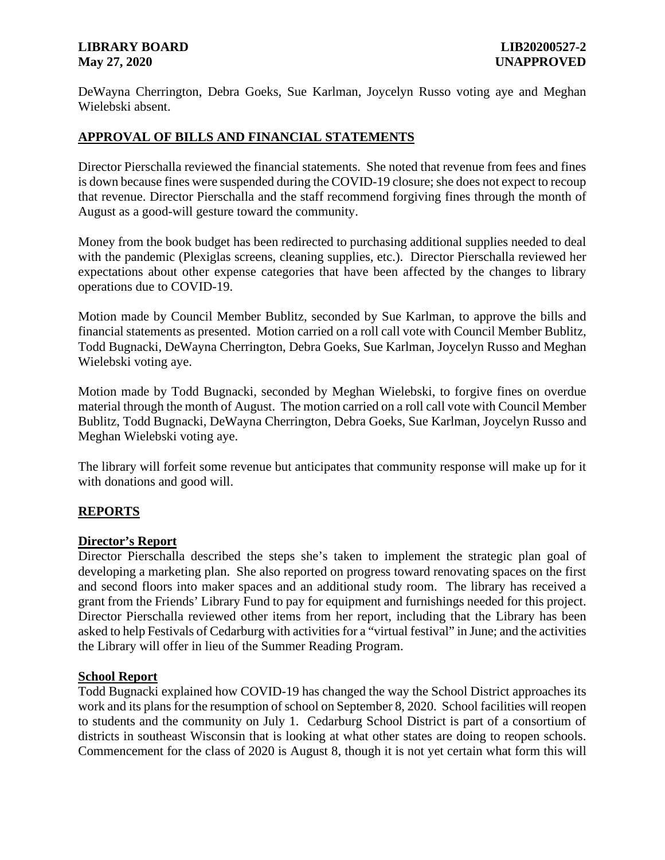### **LIBRARY BOARD LIB20200527-2 May 27, 2020 UNAPPROVED**

DeWayna Cherrington, Debra Goeks, Sue Karlman, Joycelyn Russo voting aye and Meghan Wielebski absent.

# **APPROVAL OF BILLS AND FINANCIAL STATEMENTS**

Director Pierschalla reviewed the financial statements. She noted that revenue from fees and fines is down because fines were suspended during the COVID-19 closure; she does not expect to recoup that revenue. Director Pierschalla and the staff recommend forgiving fines through the month of August as a good-will gesture toward the community.

Money from the book budget has been redirected to purchasing additional supplies needed to deal with the pandemic (Plexiglas screens, cleaning supplies, etc.). Director Pierschalla reviewed her expectations about other expense categories that have been affected by the changes to library operations due to COVID-19.

Motion made by Council Member Bublitz, seconded by Sue Karlman, to approve the bills and financial statements as presented. Motion carried on a roll call vote with Council Member Bublitz, Todd Bugnacki, DeWayna Cherrington, Debra Goeks, Sue Karlman, Joycelyn Russo and Meghan Wielebski voting aye.

Motion made by Todd Bugnacki, seconded by Meghan Wielebski, to forgive fines on overdue material through the month of August. The motion carried on a roll call vote with Council Member Bublitz, Todd Bugnacki, DeWayna Cherrington, Debra Goeks, Sue Karlman, Joycelyn Russo and Meghan Wielebski voting aye.

The library will forfeit some revenue but anticipates that community response will make up for it with donations and good will.

# **REPORTS**

# **Director's Report**

Director Pierschalla described the steps she's taken to implement the strategic plan goal of developing a marketing plan. She also reported on progress toward renovating spaces on the first and second floors into maker spaces and an additional study room. The library has received a grant from the Friends' Library Fund to pay for equipment and furnishings needed for this project. Director Pierschalla reviewed other items from her report, including that the Library has been asked to help Festivals of Cedarburg with activities for a "virtual festival" in June; and the activities the Library will offer in lieu of the Summer Reading Program.

### **School Report**

Todd Bugnacki explained how COVID-19 has changed the way the School District approaches its work and its plans for the resumption of school on September 8, 2020. School facilities will reopen to students and the community on July 1. Cedarburg School District is part of a consortium of districts in southeast Wisconsin that is looking at what other states are doing to reopen schools. Commencement for the class of 2020 is August 8, though it is not yet certain what form this will